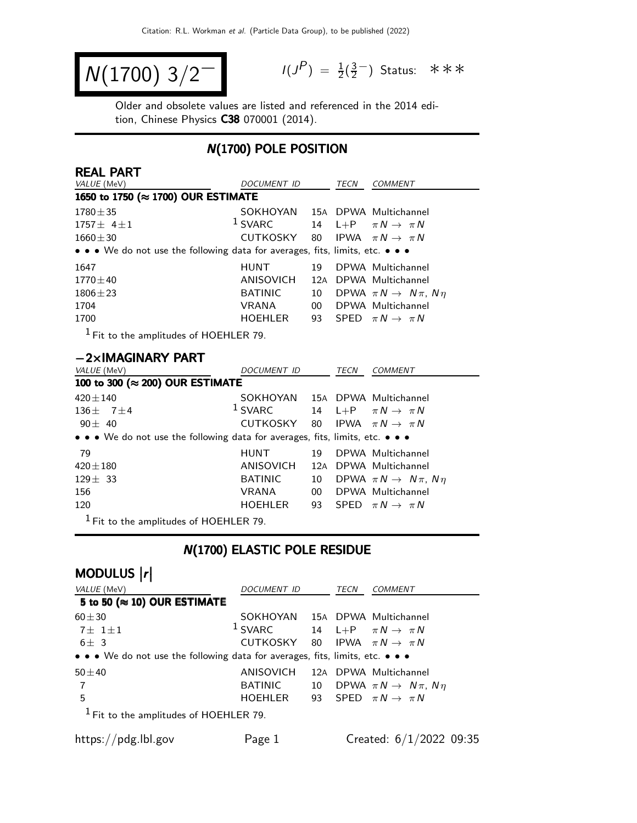$$
N(1700) 3/2^-
$$

 $P$ ) =  $\frac{1}{2}(\frac{3}{2})$  $\frac{3}{2}$  Status: ∗∗∗

Older and obsolete values are listed and referenced in the 2014 edition, Chinese Physics C38 070001 (2014).

#### N(1700) POLE POSITION

| <b>REAL PART</b>                                                              |                                |                 |      |                                           |
|-------------------------------------------------------------------------------|--------------------------------|-----------------|------|-------------------------------------------|
| VALUE (MeV)                                                                   | <i>DOCUMENT ID</i>             |                 | TECN | <b>COMMENT</b>                            |
| 1650 to 1750 (≈ 1700) OUR ESTIMATE                                            |                                |                 |      |                                           |
| $1780 \pm 35$                                                                 | SOKHOYAN 15A DPWA Multichannel |                 |      |                                           |
| $1757 \pm 4 \pm 1$                                                            | $1$ SVARC                      | 14              |      | L+P $\pi N \rightarrow \pi N$             |
| $1660 + 30$                                                                   | CUTKOSKY 80                    |                 |      | IPWA $\pi N \rightarrow \pi N$            |
| • • • We do not use the following data for averages, fits, limits, etc. • • • |                                |                 |      |                                           |
| 1647                                                                          | <b>HUNT</b>                    | 19              |      | DPWA Multichannel                         |
| $1770 \pm 40$                                                                 | ANISOVICH                      | 12A             |      | DPWA Multichannel                         |
| $1806 + 23$                                                                   | <b>BATINIC</b>                 | 10              |      | DPWA $\pi N \rightarrow N \pi$ , $N \eta$ |
| 1704                                                                          | <b>VRANA</b>                   | 00 <sup>1</sup> |      | DPWA Multichannel                         |
| 1700                                                                          | HOEHLER                        | 93              |      | SPED $\pi N \rightarrow \pi N$            |
| $1$ Fit to the amplitudes of HOEHLER 79.                                      |                                |                 |      |                                           |
| $-2\times$ IMAGINARY PART                                                     |                                |                 |      |                                           |
| VALUE (MeV)                                                                   | <i>DOCUMENT ID</i>             |                 | TECN | <i>COMMENT</i>                            |
| 100 to 300 (≈ 200) OUR ESTIMATE                                               |                                |                 |      |                                           |

| $100$ to $300$ ( $\approx$ 200) OUR ESTIMATE                                  |                |    |                                              |  |  |  |  |
|-------------------------------------------------------------------------------|----------------|----|----------------------------------------------|--|--|--|--|
| $420 \pm 140$                                                                 |                |    | SOKHOYAN 15A DPWA Multichannel               |  |  |  |  |
| 136 $\pm$ 7 $\pm$ 4                                                           | $1$ SVARC      |    | 14 L+P $\pi N \rightarrow \pi N$             |  |  |  |  |
| $90 \pm 40$                                                                   | CUTKOSKY       |    | 80 IPWA $\pi N \rightarrow \pi N$            |  |  |  |  |
| • • • We do not use the following data for averages, fits, limits, etc. • • • |                |    |                                              |  |  |  |  |
| 79                                                                            | <b>HUNT</b>    | 19 | DPWA Multichannel                            |  |  |  |  |
| $420 \pm 180$                                                                 |                |    | ANISOVICH 12A DPWA Multichannel              |  |  |  |  |
| $129 \pm 33$                                                                  | <b>BATINIC</b> |    | 10 DPWA $\pi N \rightarrow N \pi$ , $N \eta$ |  |  |  |  |
| 156                                                                           | VRANA          | 00 | DPWA Multichannel                            |  |  |  |  |
| 120                                                                           | HOEHLER        |    | 93 SPED $\pi N \rightarrow \pi N$            |  |  |  |  |
|                                                                               |                |    |                                              |  |  |  |  |

1 Fit to the amplitudes of HOEHLER 79.

### N(1700) ELASTIC POLE RESIDUE

| MODULUS  r                                                                    |                                                     |    |      |                                           |
|-------------------------------------------------------------------------------|-----------------------------------------------------|----|------|-------------------------------------------|
| VALUE (MeV)                                                                   | <b>DOCUMENT ID</b>                                  |    | TECN | <b>COMMENT</b>                            |
| 5 to 50 ( $\approx$ 10) OUR ESTIMATE                                          |                                                     |    |      |                                           |
| $60 + 30$                                                                     | SOKHOYAN 15A DPWA Multichannel                      |    |      |                                           |
| $7 \pm 1 \pm 1$                                                               | <sup>1</sup> SVARC 14 L+P $\pi N \rightarrow \pi N$ |    |      |                                           |
| $6+3$                                                                         | CUTKOSKY 80 IPWA $\pi N \rightarrow \pi N$          |    |      |                                           |
| • • • We do not use the following data for averages, fits, limits, etc. • • • |                                                     |    |      |                                           |
| $50 + 40$                                                                     | ANISOVICH                                           |    |      | 12A DPWA Multichannel                     |
| 7                                                                             | BATINIC                                             | 10 |      | DPWA $\pi N \rightarrow N \pi$ , $N \eta$ |
| 5                                                                             | HOEHLER                                             |    |      | 93 SPED $\pi N \rightarrow \pi N$         |
| <sup>1</sup> Fit to the amplitudes of HOEHLER 79.                             |                                                     |    |      |                                           |
| https://pdg.lbl.gov                                                           | Page 1                                              |    |      | Created: $6/1/2022$ 09:35                 |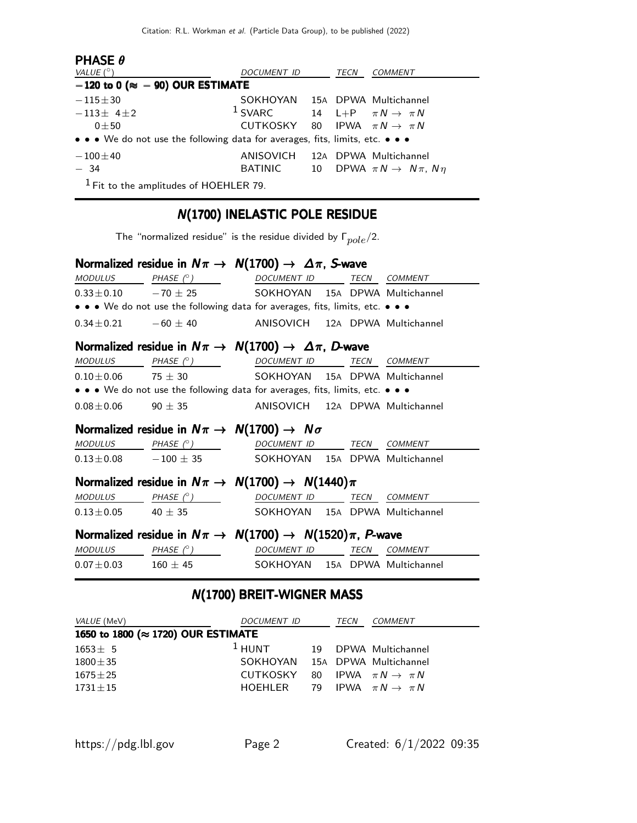| <b>PHASE <math>\theta</math></b>                                              |                                            |    |      |                                           |
|-------------------------------------------------------------------------------|--------------------------------------------|----|------|-------------------------------------------|
| VALUE $(^\circ)$                                                              | DOCUMENT ID                                |    | TECN | <b>COMMENT</b>                            |
| $-120$ to 0 ( $\approx -90$ ) OUR ESTIMATE                                    |                                            |    |      |                                           |
| $-115 \pm 30$                                                                 | SOKHOYAN 15A DPWA Multichannel             |    |      |                                           |
| $-113\pm 41\pm 2$                                                             | $1$ SVARC                                  |    |      | 14 L+P $\pi N \rightarrow \pi N$          |
| $0 + 50$                                                                      | CUTKOSKY 80 IPWA $\pi N \rightarrow \pi N$ |    |      |                                           |
| • • • We do not use the following data for averages, fits, limits, etc. • • • |                                            |    |      |                                           |
| $-100\pm 40$                                                                  | ANISOVICH                                  |    |      | 12A DPWA Multichannel                     |
| $-34$                                                                         | BATINIC                                    | 10 |      | DPWA $\pi N \rightarrow N \pi$ , $N \eta$ |
| $1$ Fit to the amplitudes of HOEHLER 79.                                      |                                            |    |      |                                           |

# N(1700) INELASTIC POLE RESIDUE

The "normalized residue" is the residue divided by  $\Gamma_{pole}/2$ .

|                | Normalized residue in $N\pi \to N(1700) \to \Delta \pi$ , S-wave              |  |  |
|----------------|-------------------------------------------------------------------------------|--|--|
| <b>MODULUS</b> | PHASE (°) DOCUMENT ID TECN COMMENT                                            |  |  |
|                | $0.33 \pm 0.10$ -70 $\pm$ 25 SOKHOYAN 15A DPWA Multichannel                   |  |  |
|                | • • • We do not use the following data for averages, fits, limits, etc. • • • |  |  |
|                | $0.34 \pm 0.21$ -60 $\pm$ 40 ANISOVICH 12A DPWA Multichannel                  |  |  |
|                | Normalized residue in $N\pi \to N(1700) \to \Delta \pi$ , D-wave              |  |  |
|                | MODULUS PHASE (°) DOCUMENT ID TECN COMMENT                                    |  |  |
|                | $0.10 \pm 0.06$ 75 $\pm$ 30 SOKHOYAN 15A DPWA Multichannel                    |  |  |
|                | • • • We do not use the following data for averages, fits, limits, etc. • • • |  |  |
|                | $0.08 \pm 0.06$ 90 $\pm$ 35 ANISOVICH 12A DPWA Multichannel                   |  |  |
|                | Normalized residue in $N\pi \rightarrow N(1700) \rightarrow N\sigma$          |  |  |
|                | $\textit{MODULUS}$ PHASE (° ) DOCUMENT ID TECN COMMENT                        |  |  |
|                | $0.13 \pm 0.08$ -100 $\pm$ 35 SOKHOYAN 15A DPWA Multichannel                  |  |  |
|                | Normalized residue in $N\pi \rightarrow N(1700) \rightarrow N(1440)\pi$       |  |  |
|                | $MODULUS$ PHASE $(°)$ DOCUMENT ID TECN COMMENT                                |  |  |
|                | $0.13 \pm 0.05$ 40 $\pm$ 35 SOKHOYAN 15A DPWA Multichannel                    |  |  |
|                | Normalized residue in $N\pi \to N(1700) \to N(1520)\pi$ , P-wave              |  |  |
|                | MODULUS PHASE (°) DOCUMENT ID TECN COMMENT                                    |  |  |
|                | $0.07 \pm 0.03$ 160 $\pm$ 45 SOKHOYAN 15A DPWA Multichannel                   |  |  |

## N(1700) BREIT-WIGNER MASS

| <i>VALUE</i> (MeV)                          | DOCUMENT ID                                | TECN | <i>COMMENT</i>       |
|---------------------------------------------|--------------------------------------------|------|----------------------|
| 1650 to 1800 ( $\approx$ 1720) OUR ESTIMATE |                                            |      |                      |
| $1653 \pm 5$                                | $1$ HUNT                                   |      | 19 DPWA Multichannel |
| $1800 \pm 35$                               | SOKHOYAN 15A DPWA Multichannel             |      |                      |
| $1675\pm25$                                 | CUTKOSKY 80 IPWA $\pi N \rightarrow \pi N$ |      |                      |
| $1731 \pm 15$                               | HOEHLER 79 IPWA $\pi N \rightarrow \pi N$  |      |                      |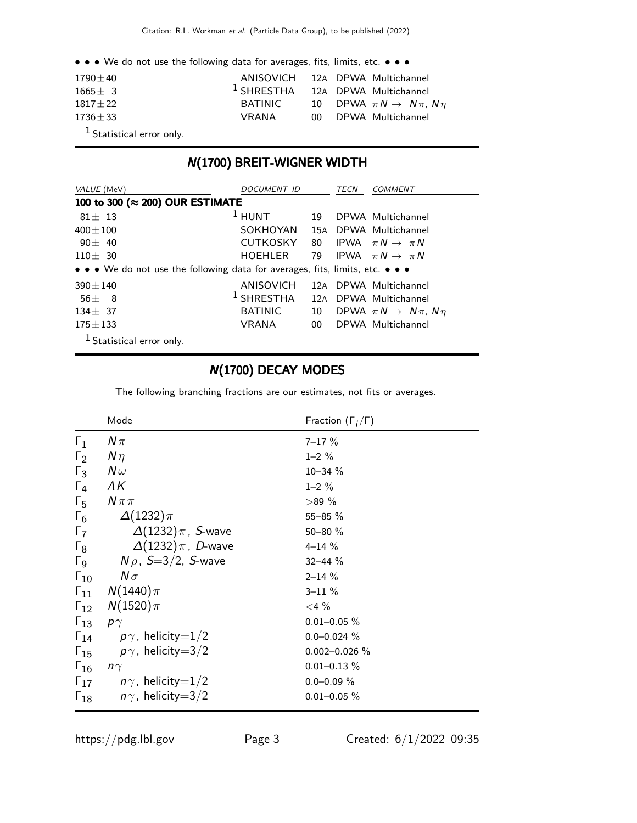• • • We do not use the following data for averages, fits, limits, etc. • • •

| $1790 + 40$         |         | ANISOVICH 12A DPWA Multichannel              |
|---------------------|---------|----------------------------------------------|
| $1665 \pm 3$        |         | $1$ SHRESTHA 12A DPWA Multichannel           |
| $1817 + 22$         | BATINIC | 10 DPWA $\pi N \rightarrow N \pi$ , $N \eta$ |
| $1736 + 33$         | VRANA   | 00 DPWA Multichannel                         |
| $1$ contract to $1$ |         |                                              |

1 Statistical error only.

### N(1700) BREIT-WIGNER WIDTH

| VALUE (MeV)                                                                   | DOCUMENT ID     |        | <i>TECN</i> | <b>COMMENT</b>                            |
|-------------------------------------------------------------------------------|-----------------|--------|-------------|-------------------------------------------|
| 100 to 300 (≈ 200) OUR ESTIMATE                                               |                 |        |             |                                           |
| $81 + 13$                                                                     | $1$ HUNT        | 19     |             | DPWA Multichannel                         |
| $400 \pm 100$                                                                 | SOKHOYAN        |        |             | 15A DPWA Multichannel                     |
| $90 \pm 40$                                                                   | <b>CUTKOSKY</b> | 80     |             | IPWA $\pi N \rightarrow \pi N$            |
| $110 \pm 30$                                                                  | HOEHLER         |        |             | 79 IPWA $\pi N \rightarrow \pi N$         |
| • • • We do not use the following data for averages, fits, limits, etc. • • • |                 |        |             |                                           |
| $390 + 140$                                                                   | ANISOVICH       |        |             | 12A DPWA Multichannel                     |
| $56 + 8$                                                                      | $^1$ SHRESTHA   | 12A    |             | DPWA Multichannel                         |
| $134 + 37$                                                                    | <b>BATINIC</b>  | 10     |             | DPWA $\pi N \rightarrow N \pi$ , $N \eta$ |
| $175 \pm 133$                                                                 | VRANA           | $00-1$ |             | DPWA Multichannel                         |
| <sup>1</sup> Statistical error only.                                          |                 |        |             |                                           |

#### N(1700) DECAY MODES

The following branching fractions are our estimates, not fits or averages.

|                       | Mode                                   | Fraction $(\Gamma_i/\Gamma)$ |
|-----------------------|----------------------------------------|------------------------------|
| $\Gamma_1$            | $N\pi$                                 | $7 - 17 \%$                  |
| $\Gamma_2$            | $N\eta$                                | $1 - 2 \%$                   |
| $\Gamma_3$            | $N\omega$                              | 10-34 %                      |
| $\Gamma_4$            | ΛK                                     | $1 - 2 \%$                   |
| $\Gamma_{5}$          | $N\pi\pi$                              | >89%                         |
| $\Gamma_6$            | $\Delta(1232)\pi$                      | 55-85 %                      |
| $\Gamma_7$            | $\Delta(1232)\pi$ , S-wave             | 50-80 %                      |
| $\Gamma_8$            | $\Delta(1232)\pi$ , D-wave             | $4 - 14%$                    |
| $\Gamma_{\mathsf{Q}}$ | $N \rho$ , S $=$ 3/2, S-wave           | $32 - 44 \%$                 |
| $\Gamma_{10}$         | $N\sigma$                              | $2 - 14 \%$                  |
|                       | $\Gamma_{11}$ $N(1440)\pi$             | $3 - 11 \%$                  |
|                       | $\Gamma_{12}$ $N(1520)\pi$             | $<$ 4 $%$                    |
| $\Gamma_{13}$         | $\rho \gamma$                          | $0.01 - 0.05 \%$             |
| $\Gamma_{14}$         | $\rho\gamma$ , helicity $=$ 1/2        | $0.0 - 0.024 \%$             |
| $\Gamma_{15}$         | $p\gamma$ , helicity $=$ 3/2           | $0.002 - 0.026 \%$           |
| $\Gamma_{16}$         | $n\gamma$                              | $0.01 - 0.13 \%$             |
|                       | $\Gamma_{17}$ $n\gamma$ , helicity=1/2 | $0.0 - 0.09 \%$              |
| $\Gamma_{18}$         | $n\gamma$ , helicity $=$ 3/2           | $0.01 - 0.05 \%$             |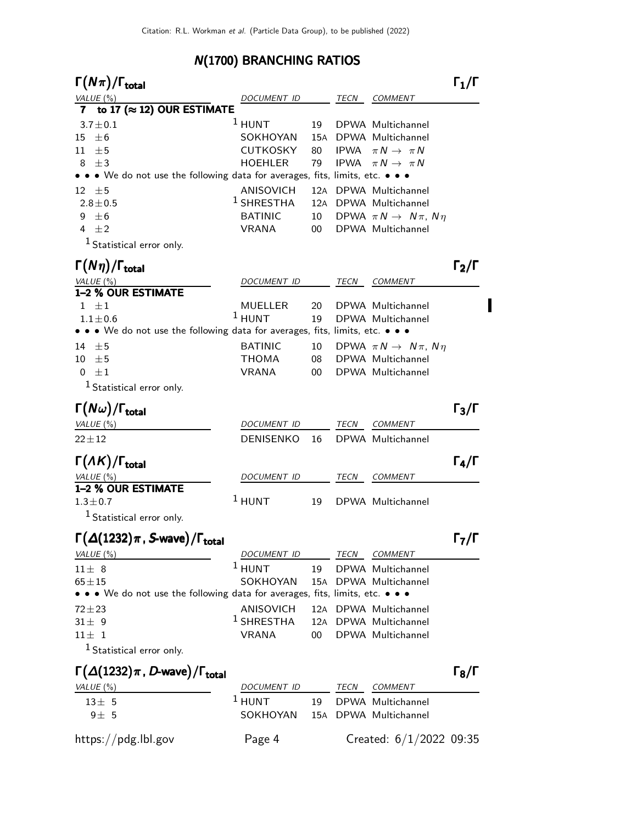# N(1700) BRANCHING RATIOS

| $\Gamma(N\pi)/\Gamma_{\rm total}$                                                                                                    |                         |     |             |                                           | $\Gamma_1/\Gamma$            |
|--------------------------------------------------------------------------------------------------------------------------------------|-------------------------|-----|-------------|-------------------------------------------|------------------------------|
| VALUE(%)                                                                                                                             | DOCUMENT ID             |     | TECN        | <b>COMMENT</b>                            |                              |
| to 17 ( $\approx$ 12) OUR ESTIMATE<br>7                                                                                              |                         |     |             |                                           |                              |
| $3.7 \pm 0.1$                                                                                                                        | $1$ HUNT                | 19  |             | DPWA Multichannel                         |                              |
| $\pm 6$<br>15                                                                                                                        | SOKHOYAN                | 15A |             | DPWA Multichannel                         |                              |
| ±5<br>11                                                                                                                             | <b>CUTKOSKY</b>         | 80  | <b>IPWA</b> | $\pi N \rightarrow \pi N$                 |                              |
| $8 \pm 3$                                                                                                                            | <b>HOEHLER</b>          | 79  | <b>IPWA</b> | $\pi N \rightarrow \pi N$                 |                              |
| • • • We do not use the following data for averages, fits, limits, etc. • • •                                                        |                         |     |             |                                           |                              |
| $12 \pm 5$                                                                                                                           | <b>ANISOVICH</b>        | 12A |             | DPWA Multichannel                         |                              |
| $2.8 \pm 0.5$                                                                                                                        | $1$ SHRESTHA            |     |             | 12A DPWA Multichannel                     |                              |
| 9<br>$\pm 6$                                                                                                                         | <b>BATINIC</b>          | 10  |             | DPWA $\pi N \rightarrow N \pi$ , $N \eta$ |                              |
| 4 $\pm 2$                                                                                                                            | <b>VRANA</b>            | 00  |             | DPWA Multichannel                         |                              |
| <sup>1</sup> Statistical error only.<br>$\Gamma(N\eta)/\Gamma_{\rm total}$                                                           |                         |     |             |                                           | $\Gamma_2/\Gamma$            |
| VALUE(%)                                                                                                                             | DOCUMENT ID             |     | TECN        | <b>COMMENT</b>                            |                              |
| 1-2 % OUR ESTIMATE                                                                                                                   |                         |     |             |                                           |                              |
| $1 \pm 1$                                                                                                                            | MUELLER                 | 20  |             | DPWA Multichannel                         |                              |
| $1.1 \pm 0.6$                                                                                                                        | $1$ HUNT                | 19  |             | DPWA Multichannel                         |                              |
| $\bullet\,\bullet\,\bullet\,$ We do not use the following data for averages, fits, limits, etc. $\bullet\,\bullet\,\bullet\,\bullet$ |                         |     |             |                                           |                              |
| 14 $\pm$ 5                                                                                                                           | <b>BATINIC</b>          | 10  |             | DPWA $\pi N \rightarrow N \pi$ , $N \eta$ |                              |
| $10 \pm 5$                                                                                                                           | <b>THOMA</b>            | 08  |             | DPWA Multichannel                         |                              |
| $0 \pm 1$                                                                                                                            | <b>VRANA</b>            | 00  |             | DPWA Multichannel                         |                              |
| <sup>1</sup> Statistical error only.                                                                                                 |                         |     |             |                                           |                              |
| $\Gamma(N\omega)/\Gamma_{\rm total}$                                                                                                 |                         |     |             |                                           | $\Gamma_3/\Gamma$            |
| VALUE $(\%)$                                                                                                                         | <b>DOCUMENT ID</b>      |     | TECN        | <b>COMMENT</b>                            |                              |
| $22 + 12$                                                                                                                            | <b>DENISENKO</b>        | 16  |             | DPWA Multichannel                         |                              |
| $\Gamma(\Lambda K)/\Gamma_{\rm total}$                                                                                               |                         |     |             |                                           | $\Gamma_4/\Gamma$            |
| <u>VALUE (%)</u><br>1-2 % OUR ESTIMATE                                                                                               | <i>DOCUMENT ID</i>      |     | TECN        | <b>COMMENT</b>                            |                              |
| $1.3 \pm 0.7$                                                                                                                        | $1$ HUNT                | 19  |             | DPWA Multichannel                         |                              |
| <sup>1</sup> Statistical error only.                                                                                                 |                         |     |             |                                           |                              |
|                                                                                                                                      |                         |     |             |                                           |                              |
| $\Gamma(\Delta(1232)\pi$ , S-wave)/ $\Gamma_{\rm total}$                                                                             |                         |     |             |                                           | $\Gamma_7/\Gamma$            |
| VALUE $(\%)$                                                                                                                         | DOCUMENT ID             |     | TECN        | <b>COMMENT</b>                            |                              |
| $11 \pm 8$                                                                                                                           | $1$ HUNT                | 19  |             | DPWA Multichannel                         |                              |
| $65 + 15$                                                                                                                            | SOKHOYAN                |     |             | 15A DPWA Multichannel                     |                              |
| $\bullet\,\bullet\,\bullet\,$ We do not use the following data for averages, fits, limits, etc. $\bullet\,\bullet\,\bullet\,\bullet$ |                         |     |             |                                           |                              |
| $72 + 23$                                                                                                                            | ANISOVICH               |     |             | 12A DPWA Multichannel                     |                              |
| $31 \pm 9$                                                                                                                           | $1$ SHRESTHA            |     |             | 12A DPWA Multichannel                     |                              |
| $11 \pm 1$                                                                                                                           | <b>VRANA</b>            | 00  |             | DPWA Multichannel                         |                              |
| <sup>1</sup> Statistical error only.                                                                                                 |                         |     |             |                                           |                              |
| $\Gamma(\Delta(1232)\pi, D$ -wave)/ $\Gamma_{\text{total}}$<br>VALUE $(\%)$                                                          |                         |     | TECN        | <b>COMMENT</b>                            | $\mathsf{\Gamma_{8}/\Gamma}$ |
| $13 \pm 5$                                                                                                                           | DOCUMENT ID<br>$1$ HUNT | 19  |             | DPWA Multichannel                         |                              |
| $9\pm5$                                                                                                                              | SOKHOYAN                |     |             | 15A DPWA Multichannel                     |                              |
|                                                                                                                                      |                         |     |             |                                           |                              |
| https://pdg.lbl.gov                                                                                                                  | Page 4                  |     |             | Created: $6/1/2022$ 09:35                 |                              |

 $\blacksquare$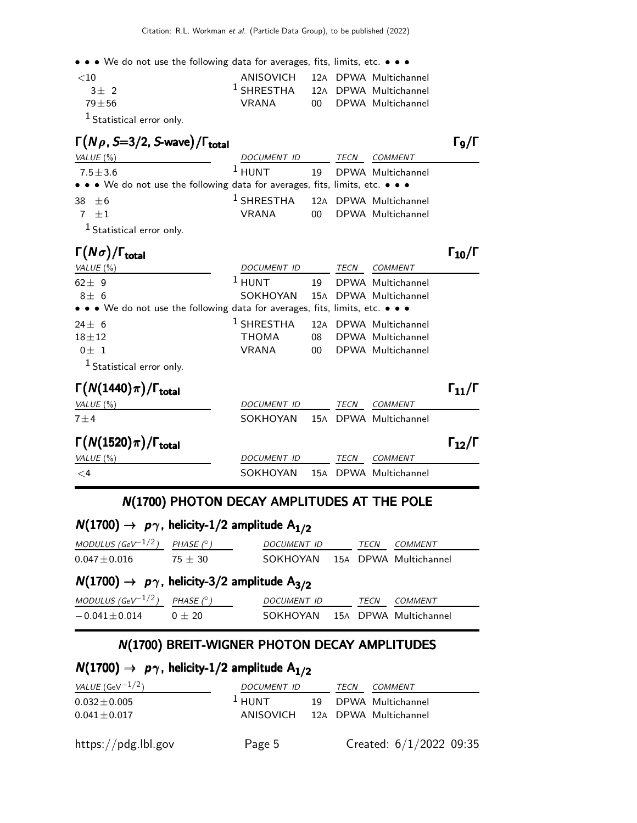• • • We do not use the following data for averages, fits, limits, etc. • • •

| ${<}10$                                                 | ANISOVICH 12A DPWA Multichannel    |  |                      |
|---------------------------------------------------------|------------------------------------|--|----------------------|
| $3+2$                                                   | $1$ SHRESTHA 12A DPWA Multichannel |  |                      |
| $79 + 56$                                               | VRANA                              |  | 00 DPWA Multichannel |
| $\mathbf{1}_{\mathbf{z}}$ , $\mathbf{z}$ , $\mathbf{z}$ |                                    |  |                      |

1 Statistical error only.

| $\Gamma(N\rho, S=3/2, S$ -wave)/ $\Gamma_{\text{total}}$                      |                                             |      |                      | $\Gamma$ 9/Γ |
|-------------------------------------------------------------------------------|---------------------------------------------|------|----------------------|--------------|
| VALUE (%)                                                                     | DOCUMENT ID                                 | TECN | <i>COMMENT</i>       |              |
| $7.5 \pm 3.6$                                                                 | <sup>1</sup> HUNT 19 DPWA Multichannel      |      |                      |              |
| • • • We do not use the following data for averages, fits, limits, etc. • • • |                                             |      |                      |              |
| 38 $\pm 6$                                                                    | <sup>1</sup> SHRESTHA 12A DPWA Multichannel |      |                      |              |
| $7 + 1$                                                                       | VRANA                                       |      | 00 DPWA Multichannel |              |
|                                                                               |                                             |      |                      |              |

1 Statistical error only.

| $\Gamma(N\sigma)/\Gamma_{\rm total}$                                          |                    |     |      |                       | $\Gamma_{10}/\Gamma$ |
|-------------------------------------------------------------------------------|--------------------|-----|------|-----------------------|----------------------|
| VALUE $(\%)$                                                                  | DOCUMENT ID        |     | TECN | <b>COMMENT</b>        |                      |
| $62 \pm 9$                                                                    | $1$ HUNT           | 19  |      | DPWA Multichannel     |                      |
| $8\pm 6$                                                                      | SOKHOYAN           |     |      | 15A DPWA Multichannel |                      |
| • • • We do not use the following data for averages, fits, limits, etc. • • • |                    |     |      |                       |                      |
| $24 \pm 6$                                                                    | $1$ SHRESTHA       | 12A |      | DPWA Multichannel     |                      |
| $18 + 12$                                                                     | <b>THOMA</b>       | 08  |      | DPWA Multichannel     |                      |
| $0 \pm 1$                                                                     | <b>VRANA</b>       | 00  |      | DPWA Multichannel     |                      |
| <sup>1</sup> Statistical error only.                                          |                    |     |      |                       |                      |
| $\Gamma(N(1440)\pi)/\Gamma_{\rm total}$                                       |                    |     |      |                       | $\Gamma_{11}/\Gamma$ |
| VALUE $(\% )$                                                                 | <b>DOCUMENT ID</b> |     | TECN | <b>COMMENT</b>        |                      |
| $7\pm4$                                                                       | SOKHOYAN           |     |      | 15A DPWA Multichannel |                      |
| $\Gamma(N(1520)\pi)/\Gamma_{\rm total}$                                       |                    |     |      |                       | 112/                 |
| VALUE (%)                                                                     | DOCUMENT ID        |     | TECN | <b>COMMENT</b>        |                      |

#### N(1700) PHOTON DECAY AMPLITUDES AT THE POLE

<4 SOKHOYAN 15A DPWA Multichannel

# $N(1700) \rightarrow p\gamma$ , helicity-1/2 amplitude  $A_{1/2}$

| MODULUS (GeV <sup>-1/2</sup> ) PHASE $(^\circ)$ |           | <i>DOCUMENT ID</i>             | <b>TFCN</b> | COMMENT |  |
|-------------------------------------------------|-----------|--------------------------------|-------------|---------|--|
| $0.047 \pm 0.016$                               | $75 + 30$ | SOKHOYAN 15A DPWA Multichannel |             |         |  |

# $N(1700) \rightarrow p\gamma$ , helicity-3/2 amplitude A<sub>3/2</sub>

| MODULUS (GeV $^{-1/2}$ ) PHASE (°) |          | <i>DOCUMENT ID</i> | TFCN | <i>COMMENT</i>          |
|------------------------------------|----------|--------------------|------|-------------------------|
| $-0.041 + 0.014$                   | $0 + 20$ | SOKHOYAN           |      | . 15A DPWA Multichannel |

### N(1700) BREIT-WIGNER PHOTON DECAY AMPLITUDES

|  | $N(1700) \rightarrow p\gamma$ , helicity-1/2 amplitude A <sub>1/2</sub> |  |
|--|-------------------------------------------------------------------------|--|
|--|-------------------------------------------------------------------------|--|

| <i>VALUE</i> (GeV $^{-1/2}$ )          | DOCUMENT ID                                 | TECN | COMMENT                   |
|----------------------------------------|---------------------------------------------|------|---------------------------|
| $0.032 \pm 0.005$<br>$0.041 \pm 0.017$ | $1$ HUNT<br>ANISOVICH 12A DPWA Multichannel |      | 19 DPWA Multichannel      |
| https://pdg.lbl.gov                    | Page 5                                      |      | Created: $6/1/2022$ 09:35 |